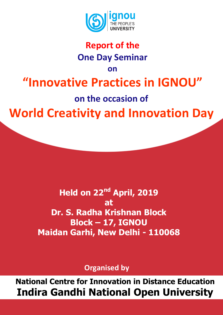

## **Report of the One Day Seminar**

**on**

## **"Innovative Practices in IGNOU"**

**on the occasion of** 

**World Creativity and Innovation Day**

**Held on 22nd April, 2019 at Dr. S. Radha Krishnan Block Block – 17, IGNOU Maidan Garhi, New Delhi - 110068**

**Organised by**

**National Centre for Innovation in Distance Education Indira Gandhi National Open University**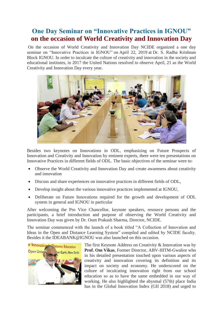## **One Day Seminar on "Innovative Practices in IGNOU" on the occasion of World Creativity and Innovation Day**

On the occasion of World Creativity and Innovation Day NCIDE organized a one day seminar on "Innovative Practices in IGNOU" on April 22, 2019 at Dr. S. Radha Krishnan Block IGNOU. In order to inculcate the culture of creativity and innovation in the society and educational institutes, in 2017 the United Nations resolved to observe April, 21 as the World Creativity and Innovation Day every year.



Besides two keynotes on Innovations in ODL, emphasizing on Future Prospects of Innovation and Creativity and Innovation by eminent experts, there were ten presentations on Innovative Practices in different fields of ODL. The basic objectives of the seminar were to:

- Observe the World Creativity and Innovation Day and create awareness about creativity and innovation
- Discuss and share experiences on innovative practices in different fields of ODL,
- Develop insight about the various innovative practices implemented at IGNOU,
- Deliberate on Future Innovations required for the growth and development of ODL system in general and IGNOU in particular

After welcoming the Pro Vice Chancellor, keynote speakers, resource persons and the participants, a brief introduction and purpose of observing the World Creativity and Innovation Day was given by Dr. Oum Prakash Sharma, Director, NCIDE.

The seminar commenced with the launch of a book titled "A Collection of Innovation and Ideas in the Open and Distance Learning System" compiled and edited by NCIDE faculty. Besides it the IDEABANK@IGNOU was also launched on this occasion.



The first Keynote Address on Creativity & Innovation was by **Prof. Om Vikas**, Former Director, ABV-IIITM-Gwalior who in his detailed presentation touched upon various aspects of creativity and innovation covering its definition and its impact on society and economy. He underscored on the culture of inculcating innovation right from our school education so as to have the same embedded in our way of working. He also highlighted the abysmal (57th) place India has in the Global Innovation Index (GII 2018) and urged to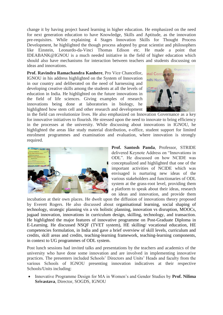change it by having project based learning in higher education. He emphasized on the need for next generation education to have Knowledge, Skills and Aptitude, as the innovation pre-requisites. While explaining 4 Stages Innovation Skills for Thought Process Development, he highlighted the though process adopted by great scientist and philosophers like Einstein, Leonardo-da-Vinci Thomas Edison etc. He made a point that IDEABANK@IGNOU is a much needed initiative in the field of higher education which should also have mechanisms for interaction between teachers and students discussing on ideas and innovations.

**Prof. Ravindra Ramachandra Kanhere**, Pro Vice Chancellor, IGNOU in his address highlighted on the System of Innovation in our country and deliberated on the need of harnessing and developing creative skills among the students at all the levels of education in India. He highlighted on the future innovations in the field of life sciences. Giving examples of research innovations being done at laboratories in biology, he highlighted how stem cell and other research and development



in the field can revolutionize lives. He also emphasized on Innovation Governance as a key for innovative initiatives to flourish. He stressed upon the need to innovate to bring efficiency in the processes at the university. While discussing about innovations in IGNOU, he highlighted the areas like study material distribution, e-office, student support for limited enrolment programmes and examination and evaluation, where innovation is strongly required.



**Prof. Santosh Panda**, Professor, STRIDE delivered Keynote Address on "Innovations in ODL". He discussed on how NCIDE was conceptualized and highlighted that one of the important activities of NCIDE which was envisaged is nurturing new ideas of the various stakeholders and functionaries of ODL system at the grass-root level, providing them a platform to speak about their ideas, research on ideas and innovation, and provide them

incubation at their own places. He dwelt upon the diffusion of innovations theory proposed by Everett Rogers. He also discussed about organisational learning, social shaping of technology, strategic planning vis a vis holistic planning, innovation vs disruption, MOOCs, jugaad innovation, innovations in curriculum design, skilling, technology, and transaction. He highlighted the major features of innovative programme on Post-Graduate Diploma in E-Learning. He discussed NSQF (TVET system), HE skilling/ vocational education, HE competencies formulation, in India and gave a brief overview of skill levels, curriculum and credits, skill areas and credits, teaching-learning framework, teaching-learning components, in context to UG programmes of ODL system.

Post lunch sessions had invited talks and presentations by the teachers and academics of the university who have done some innovation and are involved in implementing innovative practices. The presenters included Schools' Directors and Units' Heads and faculty from the various Schools of IGNOU presenting innovation indicatives at their respective Schools/Units including:

 Innovative Programme Design for MA in Women's and Gender Studies by **Prof. Nilima Srivastava**, Director, SOGDS, IGNOU